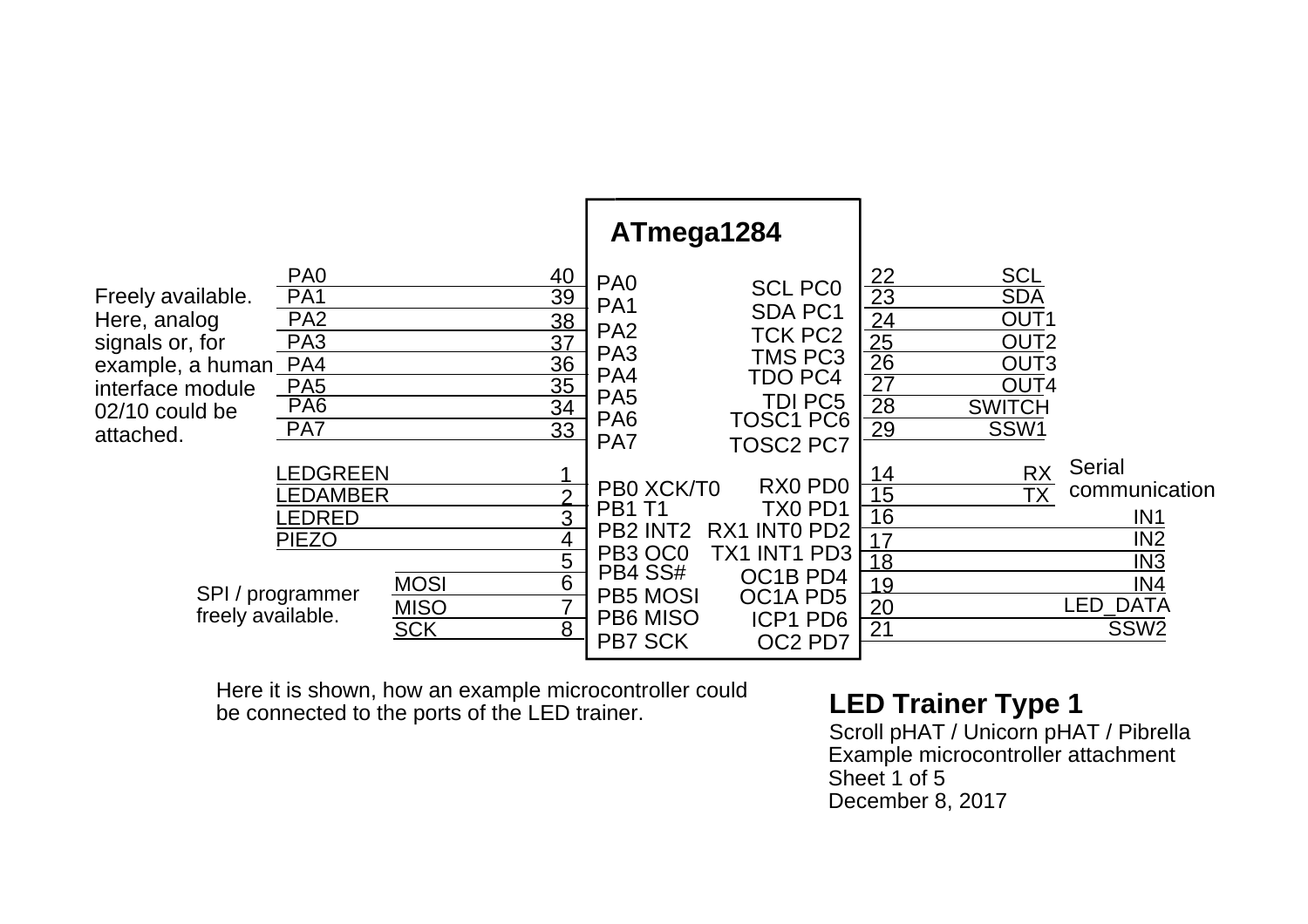|                                                                                                                             |                                                                                                                              |                                          |                                                                                                                  | ATmega1284                                                                                                                             |                                                                                                                                           |                                                                                                  |                                                                                                                       |                                                                                                                           |
|-----------------------------------------------------------------------------------------------------------------------------|------------------------------------------------------------------------------------------------------------------------------|------------------------------------------|------------------------------------------------------------------------------------------------------------------|----------------------------------------------------------------------------------------------------------------------------------------|-------------------------------------------------------------------------------------------------------------------------------------------|--------------------------------------------------------------------------------------------------|-----------------------------------------------------------------------------------------------------------------------|---------------------------------------------------------------------------------------------------------------------------|
| Freely available.<br>Here, analog<br>signals or, for<br>example, a human<br>interface module<br>02/10 could be<br>attached. | PA <sub>0</sub><br>PA <sub>1</sub><br>PA <sub>2</sub><br>PA <sub>3</sub><br>PA4<br>PA <sub>5</sub><br>PA <sub>6</sub><br>PA7 |                                          | 40<br>39<br>38<br>37<br>36<br>35<br>34<br>33                                                                     | PA <sub>0</sub><br>PA <sub>1</sub><br>PA <sub>2</sub><br>PA <sub>3</sub><br>PA4<br>PA <sub>5</sub><br>PA <sub>6</sub><br>PA7           | <b>SCL PC0</b><br><b>SDA PC1</b><br><b>TCK PC2</b><br><b>TMS PC3</b><br><b>TDO PC4</b><br>TDI PC5<br><b>TOSC1 PC6</b><br><b>TOSC2 PC7</b> | $\frac{22}{23}$<br>$\frac{24}{25}$<br>$\frac{25}{26}$<br>$\overline{27}$<br>28<br>29             | <b>SCL</b><br><b>SDA</b><br>OUT <sub>1</sub><br>OUT <sub>2</sub><br>OUT <sub>3</sub><br>OUT4<br><b>SWITCH</b><br>SSW1 |                                                                                                                           |
| freely available.                                                                                                           | LEDGREEN<br>EDAMBER.<br><b>EDRED</b><br><b>PIEZO</b><br>SPI / programmer                                                     | <b>MOSI</b><br><b>MISO</b><br><b>SCK</b> | $\mathbf{\Omega}$<br>3<br>$\overline{4}$<br>$\overline{5}$<br>$\overline{6}$<br>$\overline{7}$<br>$\overline{8}$ | PB0 XCK/T0<br><b>PB1 T1</b><br>PB <sub>2</sub> INT <sub>2</sub><br>PB3 OC0<br>PB4 SS#<br><b>PB5 MOSI</b><br>PB6 MISO<br><b>PB7 SCK</b> | RX0 PD0<br>TX0 PD1<br>RX1 INTO PD2<br>TX1 INT1 PD3<br>OC1B PD4<br>OC1A PD5<br>ICP1 PD6<br>OC2 PD7                                         | 14<br>$\overline{15}$<br>$\overline{16}$<br>17<br>$\overline{18}$<br>19<br>20<br>$\overline{21}$ | <b>RX</b><br><b>TX</b>                                                                                                | <b>Serial</b><br>communication<br>IN <sub>1</sub><br>IN <sub>2</sub><br>IN3<br>IN4<br><b>_ED_DATA</b><br>SSW <sub>2</sub> |

Here it is shown, how an example microcontroller could **LED Trainer Type 1**<br>be connected to the ports of the LED trainer. Scroll pHAT / Unicorn pHAT / Pibrella

Scroll pHAT / Unicorn pHAT / Pibrella<br>Example microcontroller attachment Sheet 1 of 5 December 8, 2017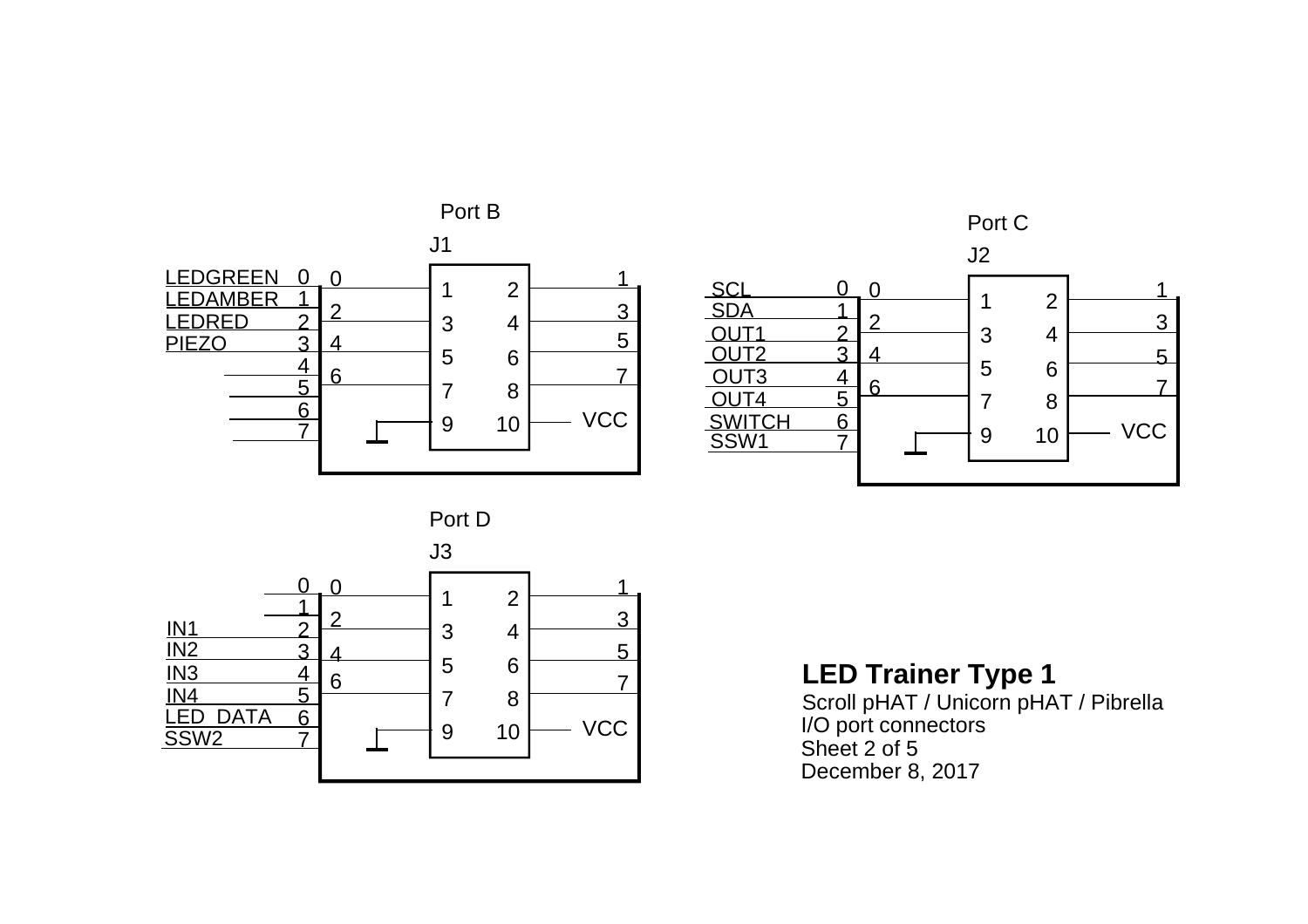



Port D



**LED Trainer Type 1**

Scroll pHAT / Unicorn pHAT / Pibrella I/O port connectors Sheet 2 of 5 December 8, 2017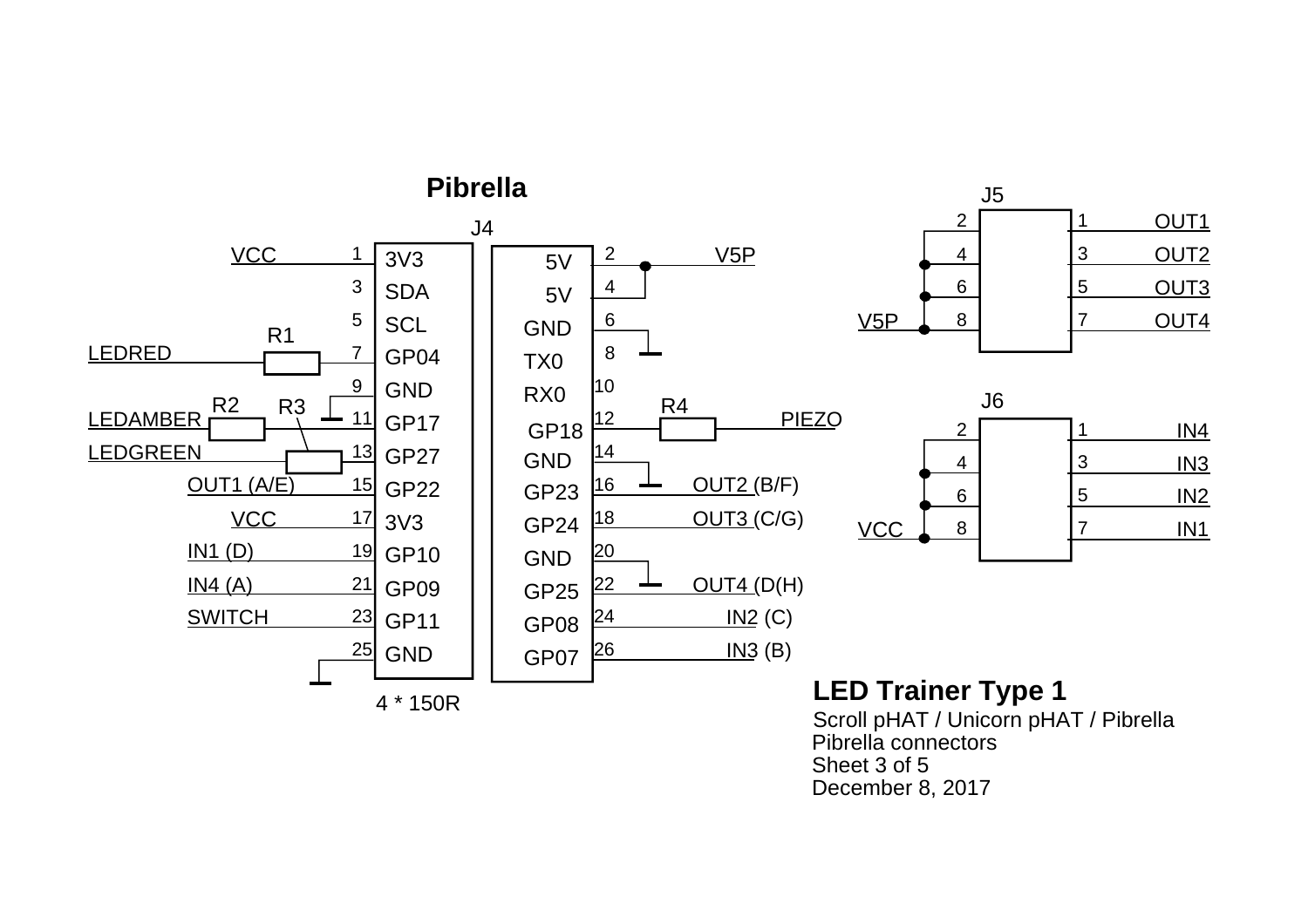

Pibrella connectorsSheet 3 of 5December 8, 2017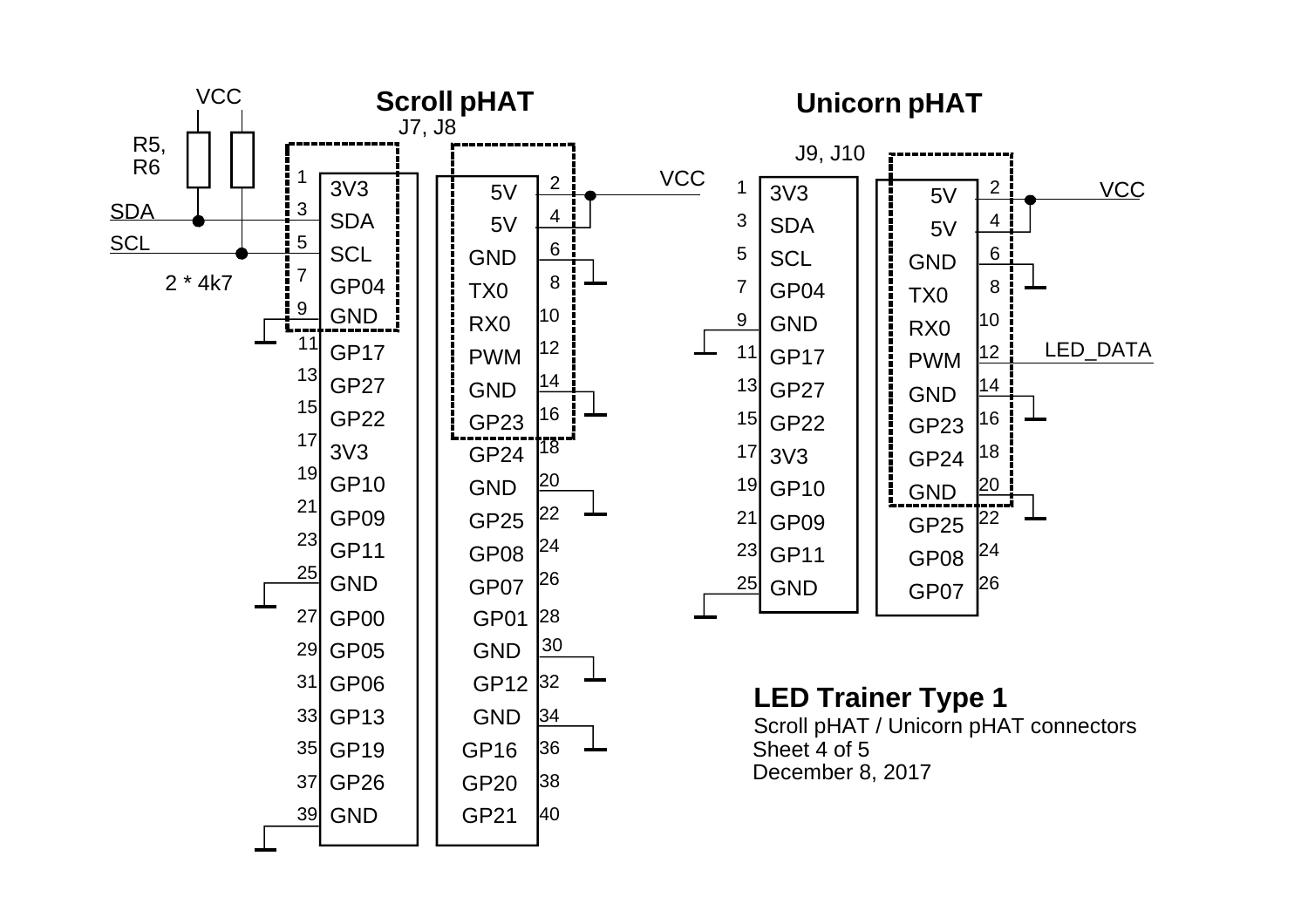